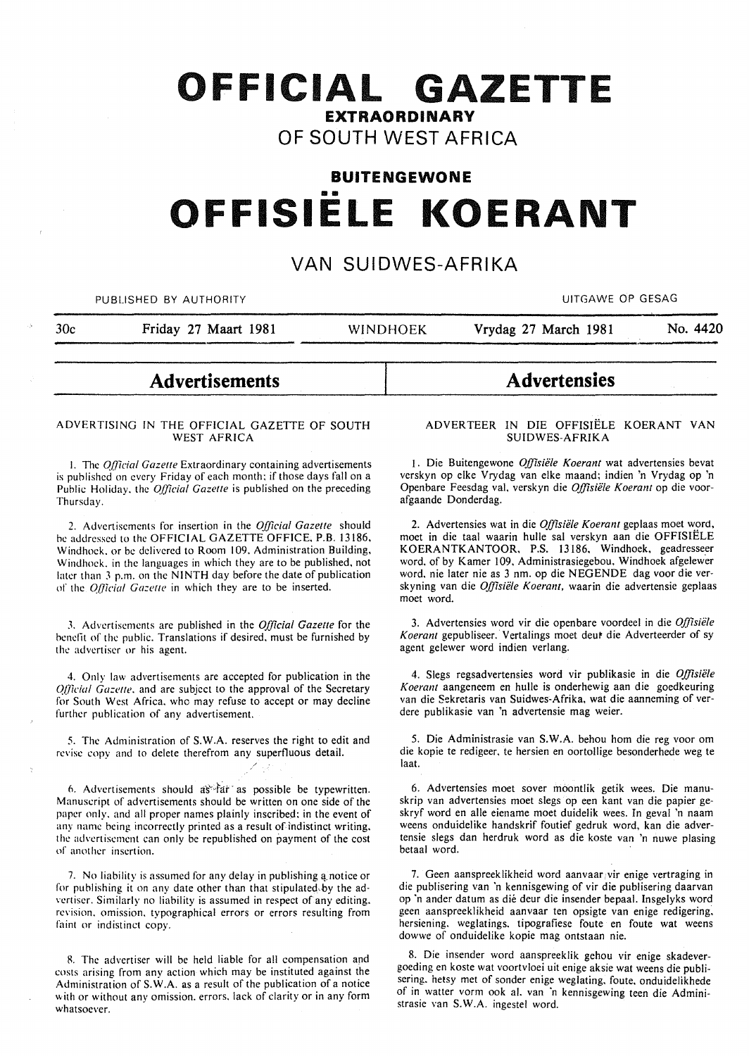# **OFFICIAL GAZETTE EXTRAORDINARY OF SOUTH WEST AFRICA**

# **BUITENGEWONE**  •• **OFFISIELE KOERANT**

# **VAN SUIDWES-AFRIKA**

PUBLISHED BY AUTHORITY **AUTHORITY CONTACT CONTACT CONTACT CONTACT CONTACT CONTACT CONTACT CONTACT CONTACT CONTACT CONTACT CONTACT CONTACT CONTACT CONTACT CONTACT CONTACT CONTACT CONTACT CONTACT CONTACT CONTACT CONTACT CO** 

30c **Friday 27 Maart 1981** WINDHOEK **Vrydag 27 March 1981 No. 4420** 

## **Advertisements**

## ADVERTISING IN THE OFFICIAL GAZETTE OF SOUTH WEST AFRICA

1. The *Official Gazette* Extraordinary containing advertisements is published on every Friday of each month; if those days fall on a Public Holiday, the *Official Gazette* is published on the preceding Thursday.

2. Advertisements for insertion in the *Official Gazette* should be addressed to the OFFICIAL GAZETTE OFFICE, P.B. 13186. Windhoek. or be delivered to Room 109. Administration Building. Windhoek. in the languages in which they are to be published, not later than 3 p.m. on the NINTH day before the date of publication of the *Official Gazette* in which they are to be inserted.

J. Advertisements arc published in the *Official Gazette* for the benefit of the public. Translations if desired. must be furnished by the advertiser or his agent.

4. Only law advertisements are accepted for publication in the *Qfficial Gazette*, and are subject to the approval of the Secretary for South West Africa. who may refuse to accept or may decline further publication of any advertisement.

5. The Administration of S.W.A. reserves the right to edit and revise copy and to delete therefrom any superfluous detail.

o. Advertisements should as"vfar. as possible be typewritten. Manuscript of advertisements should be written on one side of the paper only. and all proper names plainly inscribed: in the event of any name being incorrectly printed as a result of indistinct writing. the advertisement can only be republished on payment of the cost of another insertion.

7. No liability is assumed for any delay in publishing a notice or for publishing it on any date other than that stipulated by the advertiser. Similarly no liability is assumed in respect of any editing. revision. omission. typographical errors or errors resulting from faint or indistinct copy.

8. The advertiser will be held liable for all compensation and costs arising from any action which may be instituted against the Administration of S.W.A. as a result of the publication of a notice with or without any omission. errors. lack of clarity or in any form whatsoever.

## ADVERTEER IN DIE OFFISIELE KOERANT VAN SUIDWES-AFRIKA

**Advertensies** 

1. Die Buitengewone *Offisiële Koerant* wat advertensies bevat verskyn op elke Vrydag van elke maand; indien 'n Vrydag op 'n Openbare Feesdag val, verskyn die *Offisiele Koerant* op die voorafgaande Donderdag.

2. Advertensies wat in die *Offisiele Koerant* geplaas moet word, moet in die taal waarin hulle sal verskyn aan die OFFISIELE KOERANTKANTOOR, P.S. 13186. Windhoek, geadresseer word, of by Kamer 109, Administrasiegebou, Windhoek afgelewer word. nie later nie as 3 nm. op die NEGENDE dag voor die verskyning van die *Offisiele Koerant,* waarin die advertensie geplaas moet word.

3. Advertensies word vir die openbare voordeel in die *Offisiele*  Koerant gepubliseer. Vertalings moet deut die Adverteerder of sy agent gelewer word indien verlang.

4. Slegs regsadvertensies word vir publikasie in die *Offisiele Koerant* aangeneem en hulle is onderhewig aan die goedkeuring van die Sekretaris van Suidwes-Afrika, wat die aanneming of verdere publikasie van 'n advertensie mag weier.

5. Die Administrasie van S.W.A. behou hom die reg voor om die kopie te redigeer. te hersien en oortollige besonderhede weg te laat.

6. Advertensies moet sover moontlik getik wees. Die manuskrip van advertensies moet slegs op een kant van die papier geskryf word en aile eiename moet duidelik wees. In geval 'n naam weens onduidelike handskrif foutief gedruk word, kan die advertensie slegs dan herdruk word as die koste van 'n nuwe plasing betaal word.

7. Geen aanspreeklikheid word aanvaar vir enige vertraging in die publisering van 'n kennisgewing of vir die publisering daarvan op 'n ander datum as die deur die insender bepaal. Insgelyks word gecn aanspreeklikheid aanvaar ten opsigte van enige redigering. hersiening. weglatings. tipografiese foute en foute wat weens dowwe of onduidelike kopie mag ontstaan nie.

8. Die insender word aanspreeklik gehou vir enige skadevergoeding en koste wat voortvloei uit enige aksie wat weens die publisering.. hetsy met of sonder enige weglating. foute. onduidelikhede of in watter vorm ook a!. van 'n kennisgewing teen die Administrasie van S.W.A. ingestel word.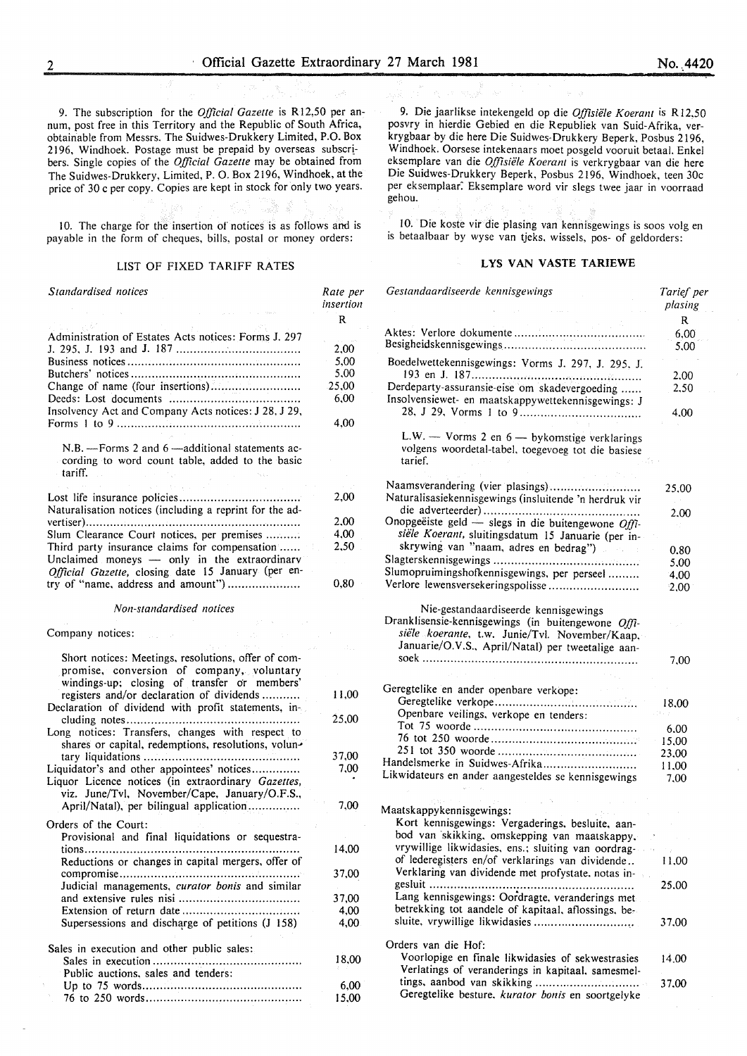10. The charge for the insertion of notices is as follows and is payable in the form of cheques, bills, postal or money orders:

#### LIST OF FIXED TARIFF RATES

| Standardised notices                                                                                                 | Rate per<br>insertion |
|----------------------------------------------------------------------------------------------------------------------|-----------------------|
|                                                                                                                      | R                     |
| Administration of Estates Acts notices: Forms J. 297                                                                 |                       |
|                                                                                                                      | 2,00                  |
|                                                                                                                      | 5,00                  |
|                                                                                                                      | 5,00                  |
| Change of name (four insertions)                                                                                     | -25,00                |
|                                                                                                                      | 6,00                  |
| Insolvency Act and Company Acts notices: J 28, J 29,                                                                 |                       |
|                                                                                                                      | 4.00                  |
| N.B. - Forms 2 and 6 - additional statements ac-<br>cording to word count table, added to the basic<br>tariff.       |                       |
|                                                                                                                      | 2,00                  |
| Naturalisation notices (including a reprint for the ad-                                                              |                       |
|                                                                                                                      | 2.00                  |
| Slum Clearance Court notices, per premises                                                                           | 4,00                  |
| Third party insurance claims for compensation                                                                        | 2.50                  |
| Unclaimed moneys - only in the extraordinary                                                                         |                       |
| Official Gazette, closing date 15 January (per en-                                                                   |                       |
| try of "name, address and amount")                                                                                   | 0,80                  |
|                                                                                                                      |                       |
| Company notices:<br>Short notices: Meetings, resolutions, offer of com-<br>promise, conversion of company, voluntary |                       |
| windings-up; closing of transfer or members'                                                                         |                       |
| registers and/or declaration of dividends<br>Declaration of dividend with profit statements, in-                     | 11,00                 |
| Long notices: Transfers, changes with respect to<br>shares or capital, redemptions, resolutions, volun-              | 25,00                 |
|                                                                                                                      | 37,00                 |
| Liquidator's and other appointees' notices                                                                           | 7,00                  |
| Liquor Licence notices (in extraordinary Gazettes,                                                                   |                       |
| viz. June/Tvl, November/Cape, January/O.F.S.,                                                                        |                       |
| April/Natal), per bilingual application                                                                              | 7.00                  |
| Orders of the Court:                                                                                                 |                       |
| Provisional and final liquidations or sequestra-                                                                     |                       |
|                                                                                                                      | 14,00                 |
| Reductions or changes in capital mergers, offer of                                                                   |                       |
|                                                                                                                      | 37,00                 |
| Judicial managements, curator bonis and similar                                                                      |                       |
|                                                                                                                      | 37,00                 |
|                                                                                                                      | 4,00                  |
| Supersessions and discharge of petitions (J 158)                                                                     | 4,00                  |
| Sales in execution and other public sales:                                                                           |                       |
|                                                                                                                      | 18.00                 |
| Public auctions, sales and tenders:                                                                                  |                       |
|                                                                                                                      | 6,00                  |
|                                                                                                                      | 15.00                 |

9. Die jaarlikse intekengeld op die *Offisiële Koerant* is R12.50 posvry in hierdie Gebied en die Republiek van Suid-Afrika, verkrygbaar by die here Die Suidwes-Drukkery Beperk, Posbus 2196, Windhoek. Oorsese intekenaars moet posgeld vooruit betaal. Enkel eksemplare van die Offisiële Koerant is verkrygbaar van die here Die Suidwes-Drukkery Beperk. Posbus 2196, Windhoek, teen 30c per eksemplaar: Eksemplare word vir slegs twee jaar in voorraad gehou.

10. Die koste vir die plasing van kennisgewings is soos volg en is betaalbaar by wyse van tjeks. wissels, pos- of geldorders:

## LYS VAN VASTE TARIEWE

| Gestandaardiseerde kennisgewings                                                                              | Tarief per<br>plasing |
|---------------------------------------------------------------------------------------------------------------|-----------------------|
|                                                                                                               | R<br>6.00             |
|                                                                                                               | 5.00                  |
| Boedelwettekennisgewings: Vorms J. 297, J. 295, J.                                                            |                       |
|                                                                                                               | 2.00                  |
| Derdeparty-assuransie-eise om skadevergoeding                                                                 | 2,50                  |
| Insolvensiewet- en maatskappywettekennisgewings: J                                                            |                       |
|                                                                                                               | 4.00                  |
| L.W. - Vorms 2 en 6 - bykomstige verklarings<br>volgens woordetal-tabel, toegevoeg tot die basiese<br>tarief. |                       |
|                                                                                                               |                       |
| Naamsverandering (vier plasings)<br>Naturalisasiekennisgewings (insluitende 'n herdruk vir                    | 25,00                 |
|                                                                                                               |                       |
| Onopgeëiste geld — slegs in die buitengewone Offi-                                                            | 2.00                  |
| siële Koerant, sluitingsdatum 15 Januarie (per in-                                                            |                       |
| skrywing van "naam, adres en bedrag")                                                                         | 0.80                  |
|                                                                                                               | 5,00                  |
| Slumopruimingshofkennisgewings, per perseel                                                                   | 4.00                  |
| Verlore lewensversekeringspolisse                                                                             | 2,00                  |
|                                                                                                               |                       |
| Nie-gestandaardiseerde kennisgewings                                                                          |                       |
| Dranklisensie-kennisgewings (in buitengewone Offi-                                                            |                       |
| siële koerante, t.w. Junie/Tvl. November/Kaap,                                                                |                       |
| Januarie/O.V.S., April/Natal) per tweetalige aan-                                                             |                       |
|                                                                                                               | 7.00                  |
|                                                                                                               |                       |
| Geregtelike en ander openbare verkope:                                                                        |                       |
| Openbare veilings, verkope en tenders:                                                                        | 18.00                 |
|                                                                                                               |                       |
|                                                                                                               | 6.00                  |
|                                                                                                               | 15,00<br>23.00        |
| Handelsmerke in Suidwes-Afrika                                                                                | 11.00                 |
| Likwidateurs en ander aangesteldes se kennisgewings                                                           | 7.00                  |
|                                                                                                               |                       |
|                                                                                                               |                       |
| Maatskappykennisgewings:                                                                                      |                       |
| Kort kennisgewings: Vergaderings, besluite, aan-                                                              |                       |
| bod van skikking, omskepping van maatskappy,                                                                  |                       |
| vrywillige likwidasies, ens.; sluiting van oordrag-<br>of lederegisters en/of verklarings van dividende       |                       |
| Verklaring van dividende met profystate, notas in-                                                            | 11,00                 |
|                                                                                                               | 25.00                 |
| Lang kennisgewings: Oordragte, veranderings met                                                               |                       |
| betrekking tot aandele of kapitaal, aflossings, be-                                                           |                       |
|                                                                                                               | 37.00                 |
|                                                                                                               |                       |
| Orders van die Hof:                                                                                           |                       |
| Voorlopige en finale likwidasies of sekwestrasies                                                             | 14.00                 |
| Verlatings of veranderings in kapitaal, samesmel-                                                             |                       |
|                                                                                                               | 37.00                 |
| Geregtelike besture, kurator bonis en soortgelyke                                                             |                       |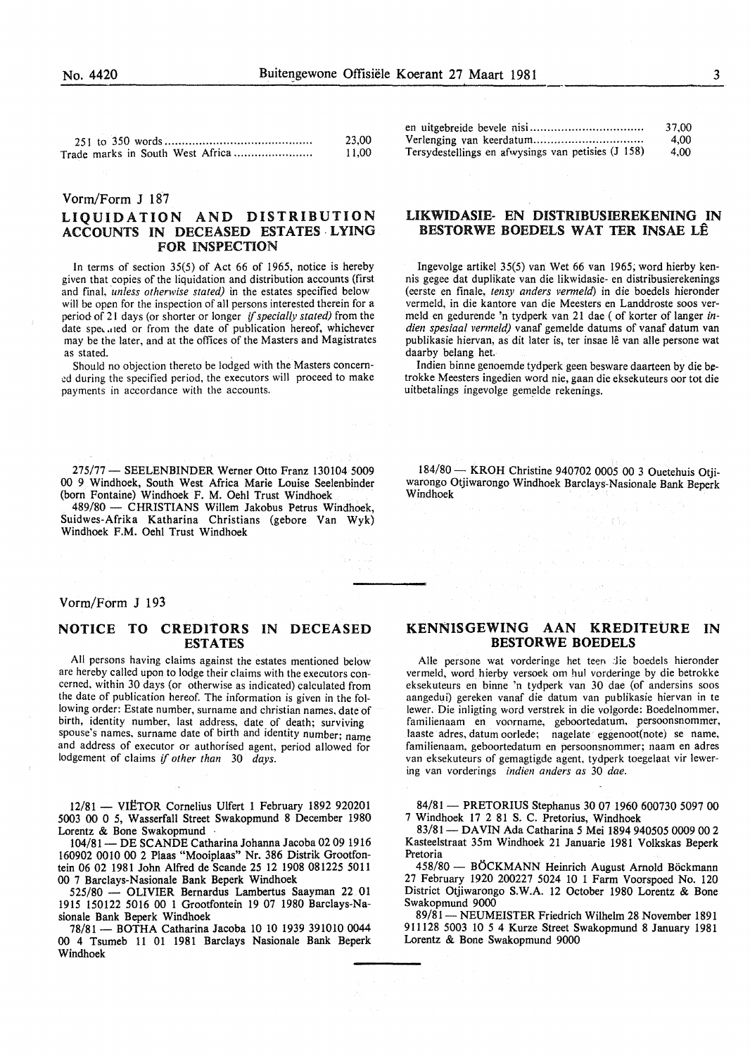| 23.00 |
|-------|
| 11.00 |

#### Vorm/Form J 187

## LIQUIDATION AND DISTRIBUTION ACCOUNTS IN DECEASED ESTATES· LYING FOR INSPECTION

In terms of section 35(5) of Act 66 of 1965, notice is hereby given that copies of the liquidation and distribution accounts (first and final, *unless otherwise stated)* in the estates specified below will be open for the inspection of all persons interested therein for a period of 21 days (or shorter or longer if *specially stated)* from the date spe, .11ed or from the date of publication hereof, whichever may be the later, and at the offices of the Masters and Magistrates as stated.

Should no objection thereto be lodged with the Masters concem ed during the specified period, the executors will proceed to make payments in accordance with the accounts.

275/77 - SEELENBINDER Werner Otto Franz 130104 5009 00 9 Windhoek, South West Africa Marie Louise Seelenbinder (born Fontaine) Windhoek F. M. Oehl Trust Windhoek

489/80 - CHRISTIANS Willem Jakobus Petrus Windhoek, Suidwes-Afrika Katharina Christians (gebore Van Wyk) Windhoek F.M. Oehl Trust Windhoek

## Vorm/Form J 193

## NOTICE TO CREDITORS IN DECEASED ESTATES

All persons having claims against the estates mentioned below are hereby called upon to lodge their claims with the executors concerned, within 30 days (or otherwise as indicated) calculated from the date of publication hereof. The information is given in the following order: Estate number, surname and christian names. date of birth, identity number, last address, date of death; surviving spouse's names. surname date of birth and identity number; name and address of executor or authorised agent, period allowed for lodgement of claims if *other than* 30 *days.* 

12/81 - VIËTOR Cornelius Ulfert 1 February 1892 920201 5003 00 0 5, Wasserfall Street Swakopmund 8 December 1980 Lorentz & Bone Swakopmund ·

104/81- DE SCANDE Catharina Johanna Jacoba 02 09 1916 160902 0010 00 2 Plaas "Mooiplaas" Nr. 386 Distrik Grootfontein 06 02 1981 John Alfred de Scande 25 12 1908 081225 5011 00 7 Barclays-Nasionale Bank Beperk Windhoek

525/80 - OLIVIER Bernardus Lambertus Saayman 22 01 1915 150122 5016 00 1 Grootfontein 19 07 1980 Barclays-Nasionale Bank Beperk Windhoek

78/81- BOTHA Catharina Jacoba 10 10 1939 391010 0044 00 4 Tsumeb 11 01 1981 Barclays Nasionale Bank Beperk Windhoek

|                                                    | 37.00 |
|----------------------------------------------------|-------|
| Verlenging van keerdatum                           | 4.00  |
| Tersydestellings en afwysings van petisies (J 158) | 4.00  |

## UKWIDASIE- EN DISTRIBUSffiREKENING IN BESTORWE BOEDELS WAT TER INSAE LE

Ingevolge artikel 35(5) van Wet 66 van 1965; word hierby kennis gegee dat duplikate van die likwidasie- en distribusierekenings (eerste en finale, *tensy anders venneld)* in die boedels hieronder vermeld, in die kantore van die Meesters en Landdroste soos vermeld en gedurende 'n tydperk van 21 dae (of korter of Ianger *indien spesiaal vermeld)* vanaf gemelde datums of vanaf datum van publikasie hiervan, as dit later is, ter insae lê van alle persone wat daarby belang het.

Indien binne genoemde tydperk geen besware daarteen by die betrokke Meesters ingedien word nie, gaan die eksekuteurs oor tot die uitbetalings ingevolge gemelde rekenings.

184/80 - KROH Christine 940702 0005 00 3 Ouetehuis Otjiwarongo Otjiwarongo Windhoek Barclays-Nasionale Bank Beperk Windhoek

## KENNISGEWING AAN KREDITEURE IN BESTORWE BOEDELS

Alle persone wat vorderinge het teen die boedels hieronder vermeld, word hierby versoek om hul vorderinge by die betrokke eksekuteurs en binne 'n tydperk van 30 dae (of andersins soos aangedui) gereken vanaf die datum van publikasie hiervan in te lewer. Die inligting word verstrek in die volgorde: Boedelnommer, familienaam en voorname, geboortedatum, persoonsnommer, laaste adres, datum oorlede; nagelate eggenoot(note) se name. familienaam. geboortedatum en persoonsnommer; naam en adres van eksekuteurs of gemagtigde agent, tydperk toegelaat vir lewering van vorderings *indien anders as* 30 *dae.* 

84/81 - PRETORIUS Stephanus 30 07 1960 600730 5097 00 7 Windhoek 17 2 81 S. C. Pretorius, Windhoek

83/81 - DAVIN Ada Catharina 5 Mei 1894 940505 0009 00 2 Kasteelstraat 35m Windhoek 21 Januarie 1981 Volkskas Beperk Pretoria

458/80 - BÖCKMANN Heinrich August Arnold Böckmann 27 February 1920 200227 5024 10 1 Farm Voorspoed No. 120 District Otjiwarongo S.W.A. 12 October 1980 Lorentz & Bone Swakopmund 9000

89/81 - NEUMEISTER Friedrich Wilhelm 28 November 1891 911128 5003 10 54 Kurze Street Swakopmund 8 January 1981 Lorentz & Bone Swakopmund 9000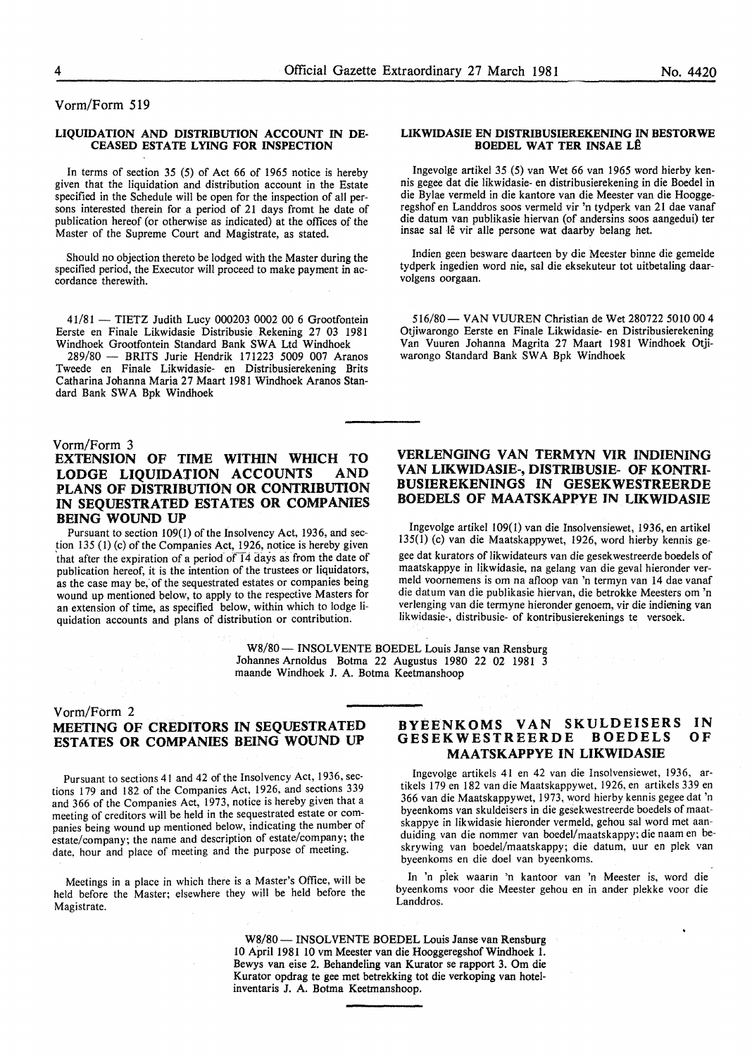Vorm/Form 519

#### LIQUIDATION AND DISTRIBUTION ACCOUNT IN DE-CEASED ESTATE LYING FOR INSPECTION

In terms of section 35 (5) of Act 66 of 1965 notice is hereby given that the liquidation and distribution account in the Estate specified in the Schedule will be open for the inspection of all persons interested therein for a period of 21 days fromt he date of publication hereof (or otherwise as indicated) at the offices of the Master of the Supreme Court and Magistrate, as stated.

Should no objection thereto be lodged with the Master during the specified period, the Executor will proceed to make payment in accordance therewith.

41/81- TIETZ Judith Lucy 000203 0002 00 6 Grootfontein Eerste en Finale Likwidasie Distribusie Rekening 27 03 1981 Windhoek Grootfontein Standard Bank SWA Ltd Windhoek

289/80 - BRITS Jurie Hendrik 171223 5009 007 Aranos Tweede en Finale Likwidasie- en Distribusierekening Brits Catharina Johanna Maria 27 Maart 1981 Windhoek Aranos Standard Bank SWA Bpk Windhoek

## Vorm/Form 3

## EXTENSION OF TIME WITHIN WHICH TO LODGE LIQUIDATION ACCOUNTS AND PLANS OF DISTRIBUTION OR CONTRIBUTION IN SEQUESTRATED ESTATES OR COMPANIES BEING WOUND UP

Pursuant to section 109(1) of the Insolvency Act, 1936, and sec tion  $135$  (1) (c) of the Companies Act, 1926, notice is hereby given that after the expiration of a period of  $\overline{14}$  days as from the date of publication hereof, it is the intention of the trustees or liquidators, as the case may be; of the sequestrated estates or companies being wound up mentioned below, to apply to the respective Masters for an extension of time, as specified below, within which to lodge liquidation accounts and plans of distribution or contribution.

#### LIKWIDASIE EN DISTRIBUSIEREKENING IN BESTORWE BOEDEL WAT TER INSAE LÊ

Ingevolge artikel 35 (5) van Wet 66 van 1965 word hierby kennis gegee dat die likwidasie- en distribusierekening in die Boedel in die Bylae vermeld in die kantore van die Meester van die Hooggeregshof en Landdros soos vermeld vir 'n tydperk van 21 dae vanaf die datum van publikasie hiervan (of andersins soos aangedui) ter insae sal lê vir alle persone wat daarby belang het.

Indien geen besware daarteen by die Meester binne die gemelde tydperk ingedien word nie, sal die eksekuteur tot uitbetaling daarvolgens oorgaan.

516/80 - VAN VUUREN Christian de Wet 280722 5010 00 4 Otjiwarongo Eerste en Finale Likwidasie- en Distribusierekening Van Vuuren Johanna Magrita 27 Maart 1981 Windhoek Otjiwarongo Standard Bank SWA Bpk Windhoek

## VERLENGING VAN TERMYN VIR INDIENING VAN LIKWIDASIE-, DISTRIBUSIE- OF KONTRI-BUSIEREKENINGS IN GESEKWESTREERDE BOEDELS OF MAATSKAPPYE IN LIKWIDASIE

Ingevolge artikel 109(1) van die Insolvensiewet, 1936, en artikel 135(1) (c) van die Maatskappywet, 1926, word hierby kennis gegee dat kurators of likwidateurs van die gesekwestreerde boedels of maatskappye in likwidasie, na gelang van die geval hieronder vermeld voornemens is om na afloop van 'n termyn van 14 dae vanaf die datum van die publikasie hiervan, die betrokke Meesters om 'n verlenging van die termyne hieronder genoem, vir die indiening van likwidasie-, distribusie- of kontribusierekenings te versoek.

W8/80 - INSOLVENTE BOEDEL Louis Janse van Rensburg Johannes Arnoldus Botma 22 Augustus 1980 22 02 1981 3 maande Windhoek J. A. Botma Keetmanshoop

## Vorm/Form 2 MEETING OF CREDITORS IN SEQUESTRATED ESTATES OR COMPANIES BEING WOUND UP

Pursuant to sections 41 and 42 of the Insolvency Act, 1936, sections 1 79 and 182 of the Companies Act, 1926, and sections 3 39 and 366 of the Companies Act, 1973, notice is hereby given that a meeting of creditors will be held in the sequestrated estate or companies being wound up mentioned below, indicating the number of estate/company; the name and description of estate/company; the date. hour and place of meeting and the purpose of meeting.

Meetings in a place in which there is a Master's Office, will be held before the Master; elsewhere they will be held before the Magistrate.

#### BYEENKOMS VAN SKULDEISERS IN GESEKWESTREERDE BOEDELS MAATSKAPPYE IN LIKWIDASIE OF

Ingevolge artikels 41 en 42 van die Insolvensiewet, 1936, artikels 179 en 182 van die Maatskappywet, 1926, en artikels 339 en 366 van die Maatskappywet, 1973, word hierby kennis gegee dat 'n byeenkoms van skuldeisers in die gesekwestreerde boedels of maatskappye in likwidasie hieronder vermeld, gehou sal word met aanduiding van die nommer van boedel/maatskappy; die naam en beskrywing van boedel/maatskappy; die datum, uur en plek van byeenkoms en die doe! van byeenkoms.

In 'n plek waarin 'n kantoor van 'n Meester is, word die byeenkoms voor die Meester gehou en in ander plekke voor die Landdros.

W8/80 - INSOLVENTE BOEDEL Louis Janse van Rensburg 10 April 1981 10 vm Meester van die Hooggeregshof Windhoek 1. Bewys van eise 2. Behandeling van Kurator se rapport 3. Om die Kurator opdrag te gee met betrekking tot die verkoping van hotelinventaris J. A. Botma Keetmanshoop.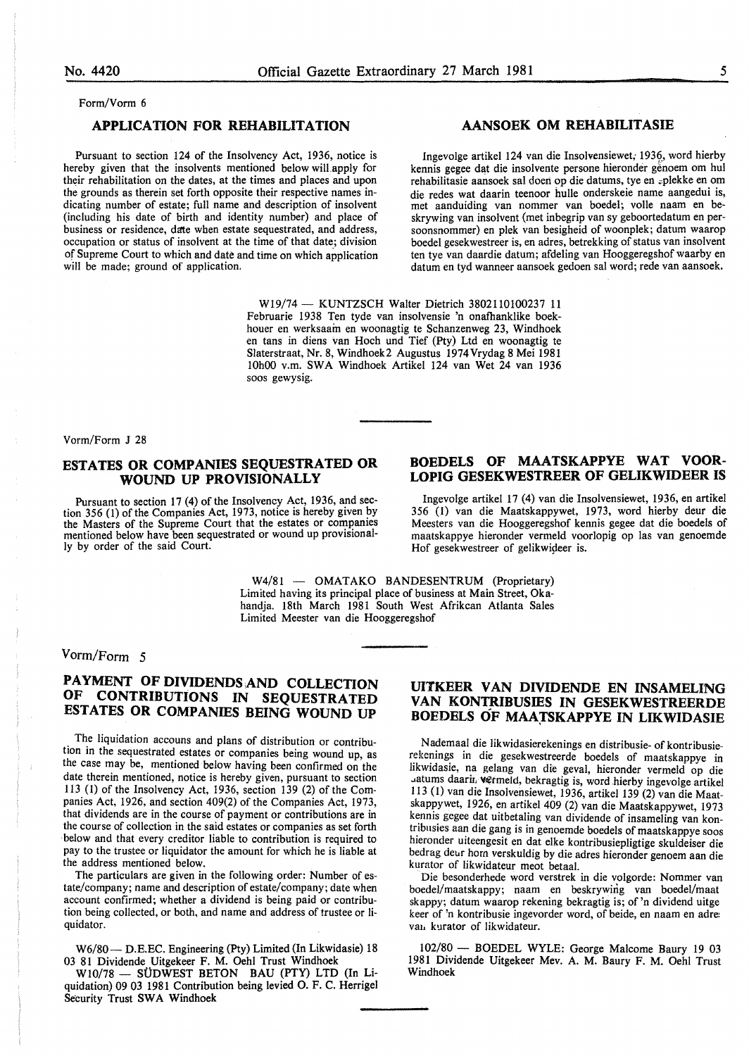#### Form/Vorm 6

## APPLICATION FOR REHABILITATION

Pursuant to section 124 of the Insolvency Act, 1936, notice is hereby given that the insolvents mentioned below will.apply for their rehabilitation on the dates, at the times and places and upon the grounds as therein set forth opposite their respective names indicating number of estate; full name and description of insolvent (including his date of birth and identity number) and place of business or residence, date when estate sequestrated, and address, occupation or status of insolvent at the time of that date; division of Supreme Court to which and date and time on which application will be made; ground of application.

## AANSOEK OM REHABILITASIE

Ingevolge artikel 124 van die Insolvensiewet; 1936, word hierby kennis gegee dat die insolvente persone hieronder genoem om hul rehabilitasie aansoek sal doen op die datums, tye en zplekke en om die redes wat daarin teenoor hulle onderskeie name aangedui is, met aanduiding van nommer van boedel; voile naam en beskrywing van insolvent (met inbegrip van sy geboortedatum en persoonsnommer) en plek van besigheid of woonplek; datum waarop boedel gesekwestreer is, en adres, betrekking of status van insolvent ten tye van daardie datum; afdeling van Hooggeregshof waarby en datum en tyd wanneer aansoek gedoen sal word; rede van aansoek.

W19/74- KUNTZSCH Walter Dietrich 3802110100237 11 Februarie 1938 Ten tyde van insolvensie 'n onafhanklike boekhouer en werksaam en woonagtig te Schanzenweg 23, Windhoek en tans in diens van Hoch und Tief (Pty) Ltd en woonagtig te Slaterstraat, Nr. 8, Windhoek2 Augustus 1974Vrydag 8 Mei 1981 10h00 v.m. SWA Windhoek Artikel 124 van Wet 24 van 1936 soos gewysig.

Vorm/Form J 28

## ESTATES OR COMPANIES SEQUESTRATED OR WOUND UP PROVISIONALLY

Pursuant to section 17 (4) of the Insolvency Act, 1936, and section 356 (1) of the Companies Act, 1973, notice is hereby given by the Masters of the Supreme Court that the estates or companies mentioned below have been sequestrated or wound up provisionally by order of the said Court.

## BOEDELS OF MAATSKAPPYE WAT VOOR-LOPIG GESEKWESTREER OF GELIKWIDEER IS

Ingevolge artikel 17 (4) van die Insolvensiewet, 1936, en artikel 356 (1) van die Maatskappywet, 1973, word hierby deur die Meesters van die Hooggeregshof kennis gegee dat die boedels of maatskappye hieronder vermeld voorlopig op las van genoemde Hof gesekwestreer of gelikwideer is.

W4/81 - OMATAKO BANDESENTRUM (Proprietary) Limited having its principal place of business at Main Street, Okahandja. 18th March 1981 South West Afrikcan Atlanta Sales Limited Meester van die Hooggeregshof

## Vorm/Form 5

## PAYMENT OF DIVIDENDS AND COLLECTION OF CONTRIBUTIONS IN SEQUESTRATED ESTATES OR COMPANIES BEING WOUND UP

The liquidation accouns and plans of distribution or contribution in the sequestrated estates or companies being wound up, as the case may be, mentioned below having been confirmed on the date therein mentioned, notice is hereby given, pursuant to section 113 (1) of the Insolvency Act, 1936, section 139 (2) of the Companies Act, 1926, and section 409(2) of the Companies Act, 1973, that dividends are in the course of payment or contributions are in the course of collection in the said estates or companies as set forth below and that every creditor liable to contribution is required to pay to the trustee or liquidator the amount for which he is liable at the address mentioned below.

The particulars are given in the following order: Number of estate/company; name and description of estate/company; date when account confirmed; whether a dividend is being paid or contribution being collected, or both, and name and address of trustee or Ji. quidator.

W6/80- D.E.EC. Engineering (Pty) Limited (In Likwidasie) 18 03 81 Dividende Uitgekeer F. M. Oehl Trust Windhoek

W10/78 - SÜDWEST BETON BAU (PTY) LTD (In Liquidation) 09 03 1981 Contribution being levied 0. F. C. Herrigel Security Trust SWA Windhoek

## UITKEER VAN DIVIDENDE EN INSAMELING VAN KONTRIBUSIES IN GESEKWESTREERDE BOEDELS OF MAATSKAPPYE IN LIKWIDASIE

N ademaal die Iikwidasierekenings en distribusie- of kontribusierekenings in die gesekwestreerde boedels of maatskappye in likwidasie, na gelang van die geval, hieronder vermeld op die .atums daarit, vermeld, bekragtig is, word hierby ingevolge artikel 113 (1) van die Insolvensiewet, 1936, artikel 139 (2) van die Maatskappywet, 1926, en artikel 409 (2) van die Maatskappywet, 1973 kennis gcgee dat uitbetaling van dividende of insameling van kontribusies aan die gang is in genoemde boedels of maatskappye soos hieronder uiteengesit en dat elke kontribusiepligtige skuldeiser die bedrag deur hom verskuldig by die adres hieronder genoem aan die kurator of likwidateur meot betaal.

Die besonderhede word verstrek in die volgorde: Nommer van boedel/maatskappy; naam en beskrywing van boedel/maat skappy; datum waarop rekening bekragtig is; of 'n dividend uitge keer of 'n kontribusie ingevorder word, of beide, en naam en adre: van kurator of likwidateur.

102/80 - BOEDEL WYLE: George Malcome Baury 19 03 1981 Dividende Uitgekeer Mev. A. M. Baury F. M. Oehl Trust Windhoek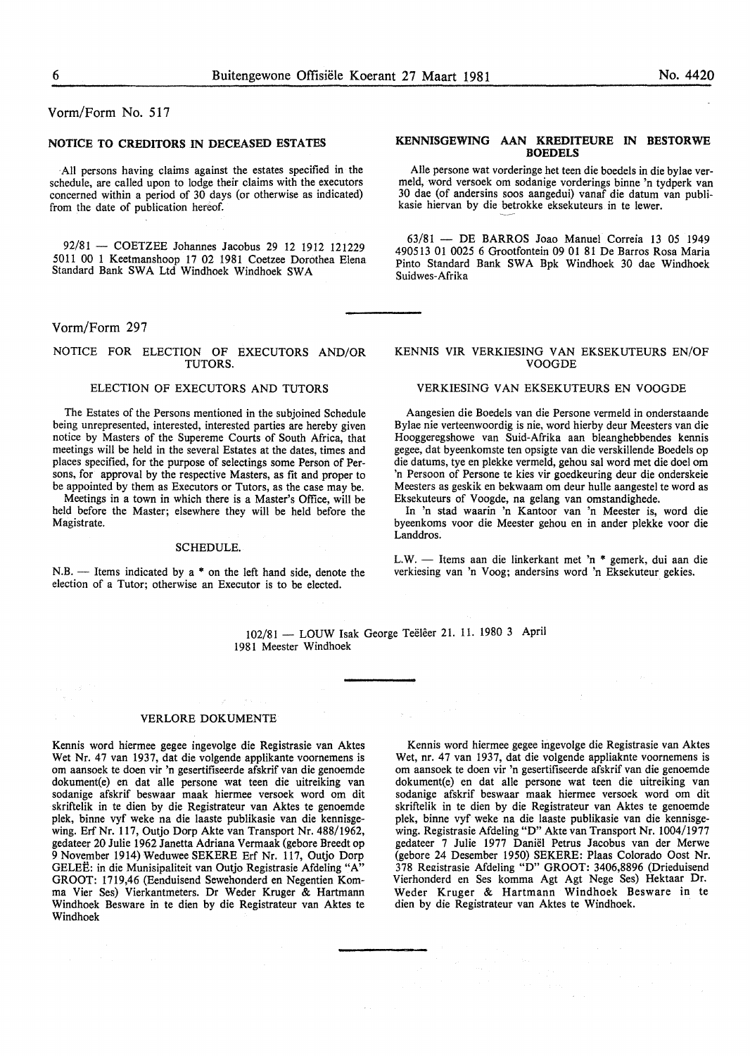Vorm/Form No. 517

#### NOTICE TO CREDITORS IN DECEASED ESTATES

·All persons having claims against the estates specified in the schedule, are called upon to lodge their claims with the executors concerned within a period of 30 days (or otherwise as indicated) from the date of publication hereof.

92/81 - COETZEE Johannes Jacobus 29 12 1912 121229 5011 00 1 Keetmanshoop 17 02 1981 Coetzee Dorothea Elena Standard Bank SWA Ltd Windhoek Windhoek SWA

## Vorm/Form 297

#### NOTICE FOR ELECTION OF EXECUTORS AND/OR TUTORS.

#### ELECTION OF EXECUTORS AND TUTORS

The Estates of the Persons mentioned in the subjoined Schedule being unrepresented, interested, interested parties are hereby given notice by Masters of the Supereme Courts of South Africa, that meetings will be held in the several Estates at the dates, times and places specified, for the purpose of selectings some Person of Persons, for approval by the respective Masters, as fit and proper to be appointed by them as Executors or Tutors, as the case may be.

Meetings in a town in which there is a Master's Office, will be held before the Master; elsewhere they will be held before the Magistrate.

#### SCHEDULE.

 $N.B.$  - Items indicated by a  $*$  on the left hand side, denote the election of a Tutor; otherwise an Executor is to be elected.

#### KENNISGEWING AAN KREDITEURE IN BESTORWE **BOEDELS**

Aile persone wat vorderinge het teen die boedels in die bylae vermeld, word versoek om sodanige vorderings binne 'n tydperk van 30 dae (of andersins soos aangedui) vanaf die datum van publikasie hiervan by die betrokke eksekuteurs in te lewer.

63/81 - DE BARROS Joao Manuel Correia 13 05 1949 490513 01 0025 6 Grootfontein 09 01 81 De Barros Rosa Maria Pinto Standard Bank SWA Bpk Windhoek 30 dae Windhoek Suidwes-Afrika

#### KENNIS VIR VERKIESING VAN EKSEKUTEURS EN/OF VOOGDE

#### VERKIESING VAN EKSEKUTEURS EN VOOGDE

Aangesien die Boedels van die Persone vermeld in onderstaande Bylae nie verteenwoordig is nie, word hierby deur Meesters van die Hooggeregshowe van Suid-Afrika aan bleanghebbendes kennis gegee, dat byeenkomste ten opsigte van die verskillende Boedels op die datums, tye en plekke vermeld, gehou sal word met die doe! om 'n Persoon of Persone te kies vir goedkeuring deur die onderskeie Meesters as geskik en bekwaam om deur bulle aangestel te word as Eksekuteurs of Voogde, na gelang van omstandighede.

In 'n stad waarin 'n Kantoor van 'n Meester is, word die byeenkoms voor die Meester gehou en in ander plekke voor die Landdros.

L.W. - Items aan die linkerkant met 'n \* gemerk, dui aan die verkiesing van 'n Voog; andersins word 'n Eksekuteur gekies.

102/81 - LOUW Isak George Teëlêer 21. 11. 1980 3 April 1981 Meester Windhoek

#### VERLORE DOKUMENTE

Kennis word hiermee gegee ingevolge die Registrasie van Aktes Wet Nr. 47 van 1937, dat die volgende applikante voomemens is om aansoek te doen vir 'n gesertifiseerde afskrif van die genoemde dokument(e) en dat aile persone wat teen die uitreiking van sodanige afskrif beswaar maak hiermee versoek word om dit skriftelik in te dien by die Registrateur van Aktes te genoemde plek, binne vyf weke na die Iaaste publikasie van die kennisgewing. Erf Nr. 117, Outjo Dorp Akte van Transport Nr. 488/1962, gedateer 20 Julie 1962 Janetta Adriana Vermaak (gebore Breedt op 9 November 1914) Weduwee SEKERE Erf Nr. 117, Outjo Dorp GELEE: in die Munisipaliteit van Outjo Registrasie Afdeling "A" GROOT: 1719,46 (Eenduisend Sewehonderd en Negentien Komma Vier Ses) Vierkantmeters. Dr Weder Kruger & Hartmann Windhoek Besware in te dien by die Registrateur van Aktes te Windhoek

Kennis word hiermee gegee ingevolge die Registrasie van Aktes Wet, nr. 47 van 1937, dat die volgende appliaknte voornemens is om aansoek te doen vir 'n gesertifiseerde afskrif van die genoemde dokument(e) en dat aile persone wat teen die uitreiking van sodanige afskrif beswaar maak hiermee versoek word om dit skriftelik in te dien by die Registrateur van Aktes te genoemde plek, binne vyf weke na die Iaaste publikasie van die kennisgewing. Registrasie Afdeling "D" Akte van Transport Nr. 1004/1977 gedateer 7 Julie 1977 Daniel Petrus Jacobus van der Merwe (gebore 24 Desember 1950) SEKERE: Plaas Colorado Oost Nr. 378 Registrasie Afdeling "D" GROOT: 3406,8896 (Drieduisend Vierhonderd en Ses komma Agt Agt Nege Ses) Hektaar Dr. Weder Kruger & Hartmann Windhoek Besware in te dien by die Registrateur van Aktes te Windhoek.